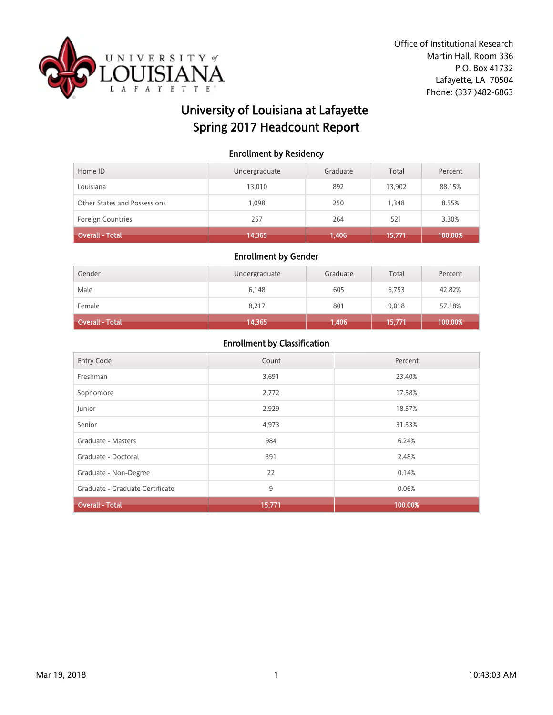

# University of Louisiana at Lafayette Spring 2017 Headcount Report

### Enrollment by Residency

| Home ID                      | Undergraduate | Graduate | Total  | Percent |
|------------------------------|---------------|----------|--------|---------|
| Louisiana                    | 13,010        | 892      | 13,902 | 88.15%  |
| Other States and Possessions | 1.098         | 250      | 1,348  | 8.55%   |
| <b>Foreign Countries</b>     | 257           | 264      | 521    | 3.30%   |
| Overall - Total              | 14,365        | 1,406    | 15,771 | 100.00% |

#### Enrollment by Gender

| Gender                 | Undergraduate | Graduate | Total  | Percent |
|------------------------|---------------|----------|--------|---------|
| Male                   | 6,148         | 605      | 6,753  | 42.82%  |
| Female                 | 8,217         | 801      | 9,018  | 57.18%  |
| <b>Overall - Total</b> | 14,365        | 1,406    | 15,771 | 100.00% |

| <b>Entry Code</b>               | Count  | Percent |
|---------------------------------|--------|---------|
| Freshman                        | 3,691  | 23.40%  |
| Sophomore                       | 2,772  | 17.58%  |
| Junior                          | 2,929  | 18.57%  |
| Senior                          | 4,973  | 31.53%  |
| Graduate - Masters              | 984    | 6.24%   |
| Graduate - Doctoral             | 391    | 2.48%   |
| Graduate - Non-Degree           | 22     | 0.14%   |
| Graduate - Graduate Certificate | 9      | 0.06%   |
| <b>Overall - Total</b>          | 15,771 | 100.00% |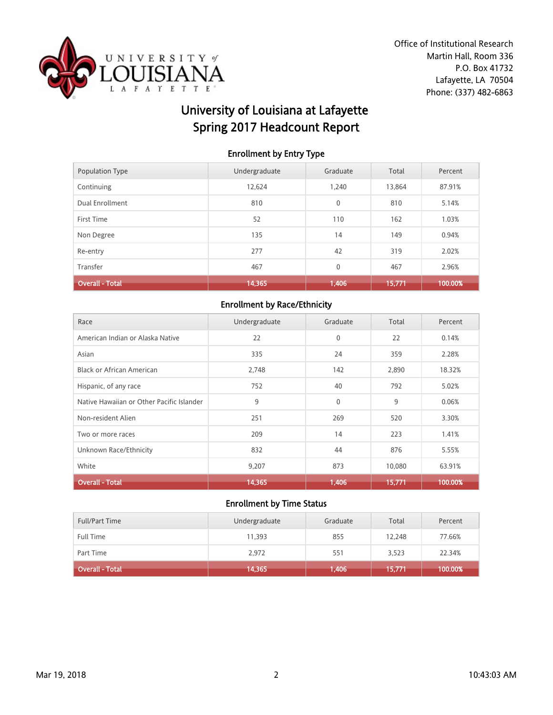

# University of Louisiana at Lafayette Spring 2017 Headcount Report

### Enrollment by Entry Type

| Population Type        | Undergraduate | Graduate     | Total  | Percent |
|------------------------|---------------|--------------|--------|---------|
| Continuing             | 12,624        | 1.240        | 13,864 | 87.91%  |
| Dual Enrollment        | 810           | $\mathbf{0}$ | 810    | 5.14%   |
| First Time             | 52            | 110          | 162    | 1.03%   |
| Non Degree             | 135           | 14           | 149    | 0.94%   |
| Re-entry               | 277           | 42           | 319    | 2.02%   |
| Transfer               | 467           | $\mathbf 0$  | 467    | 2.96%   |
| <b>Overall - Total</b> | 14,365        | 1,406        | 15,771 | 100.00% |

## Enrollment by Race/Ethnicity

| Race                                      | Undergraduate | Graduate     | Total  | Percent |
|-------------------------------------------|---------------|--------------|--------|---------|
| American Indian or Alaska Native          | 22            | $\mathbf{0}$ | 22     | 0.14%   |
| Asian                                     | 335           | 24           | 359    | 2.28%   |
| <b>Black or African American</b>          | 2,748         | 142          | 2,890  | 18.32%  |
| Hispanic, of any race                     | 752           | 40           | 792    | 5.02%   |
| Native Hawaiian or Other Pacific Islander | 9             | $\mathbf{0}$ | 9      | 0.06%   |
| Non-resident Alien                        | 251           | 269          | 520    | 3.30%   |
| Two or more races                         | 209           | 14           | 223    | 1.41%   |
| Unknown Race/Ethnicity                    | 832           | 44           | 876    | 5.55%   |
| White                                     | 9.207         | 873          | 10,080 | 63.91%  |
| <b>Overall - Total</b>                    | 14,365        | 1,406        | 15,771 | 100.00% |

| <b>Full/Part Time</b> | Undergraduate | Graduate | Total  | Percent |
|-----------------------|---------------|----------|--------|---------|
| <b>Full Time</b>      | 11,393        | 855      | 12,248 | 77.66%  |
| Part Time             | 2,972         | 551      | 3,523  | 22.34%  |
| Overall - Total       | 14,365        | 1,406    | 15,771 | 100.00% |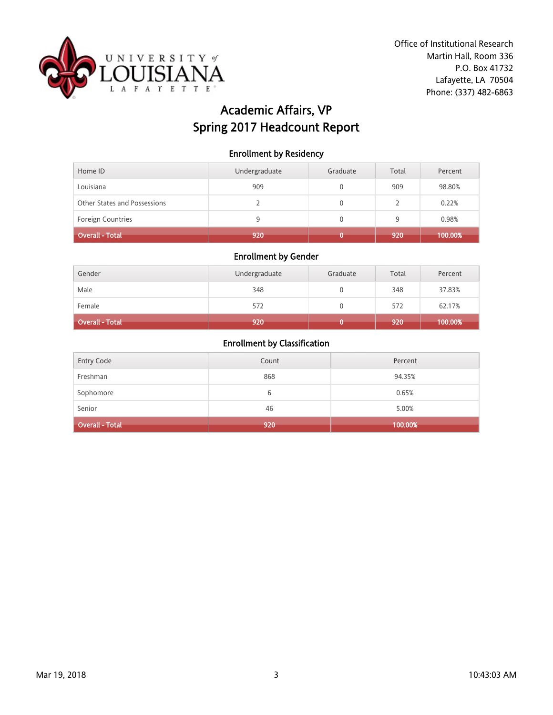

# Academic Affairs, VP Spring 2017 Headcount Report

### Enrollment by Residency

| Home ID                      | Undergraduate | Graduate | Total | Percent |
|------------------------------|---------------|----------|-------|---------|
| Louisiana                    | 909           |          | 909   | 98.80%  |
| Other States and Possessions |               |          |       | 0.22%   |
| <b>Foreign Countries</b>     | q             |          | 9     | 0.98%   |
| Overall - Total              | 920           |          | 920   | 100.00% |

### Enrollment by Gender

| Gender                 | Undergraduate | Graduate | Total | Percent |
|------------------------|---------------|----------|-------|---------|
| Male                   | 348           |          | 348   | 37.83%  |
| Female                 | 572           |          | 572   | 62.17%  |
| <b>Overall - Total</b> | 920           |          | 920   | 100.00% |

| <b>Overall - Total</b> | 920   | 100.00% |
|------------------------|-------|---------|
| Senior                 | 46    | 5.00%   |
| Sophomore              | ь     | 0.65%   |
| Freshman               | 868   | 94.35%  |
| <b>Entry Code</b>      | Count | Percent |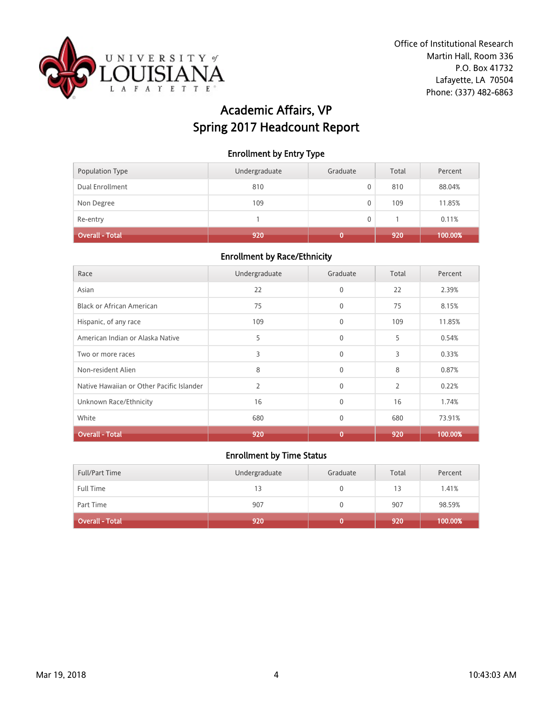

# Academic Affairs, VP Spring 2017 Headcount Report

### Enrollment by Entry Type

| Population Type        | Undergraduate | Graduate | Total | Percent |
|------------------------|---------------|----------|-------|---------|
| Dual Enrollment        | 810           | 0        | 810   | 88.04%  |
| Non Degree             | 109           | 0        | 109   | 11.85%  |
| Re-entry               |               | 0        |       | 0.11%   |
| <b>Overall - Total</b> | 920           |          | 920   | 100.00% |

#### Enrollment by Race/Ethnicity

| Race                                      | Undergraduate | Graduate     | Total | Percent |
|-------------------------------------------|---------------|--------------|-------|---------|
| Asian                                     | 22            | $\mathbf{0}$ | 22    | 2.39%   |
| Black or African American                 | 75            | $\mathbf{0}$ | 75    | 8.15%   |
| Hispanic, of any race                     | 109           | $\mathbf{0}$ | 109   | 11.85%  |
| American Indian or Alaska Native          | 5             | $\mathbf{0}$ | 5     | 0.54%   |
| Two or more races                         | 3             | $\mathbf{0}$ | 3     | 0.33%   |
| Non-resident Alien                        | 8             | $\mathbf{0}$ | 8     | 0.87%   |
| Native Hawaiian or Other Pacific Islander | 2             | $\mathbf{0}$ | 2     | 0.22%   |
| Unknown Race/Ethnicity                    | 16            | $\Omega$     | 16    | 1.74%   |
| White                                     | 680           | $\mathbf{0}$ | 680   | 73.91%  |
| <b>Overall - Total</b>                    | 920           | 0            | 920   | 100.00% |

| <b>Full/Part Time</b>  | Undergraduate | Graduate | Total | Percent |
|------------------------|---------------|----------|-------|---------|
| <b>Full Time</b>       | 13            |          | 13    | 1.41%   |
| Part Time              | 907           |          | 907   | 98.59%  |
| <b>Overall - Total</b> | 920           |          | 920   | 100.00% |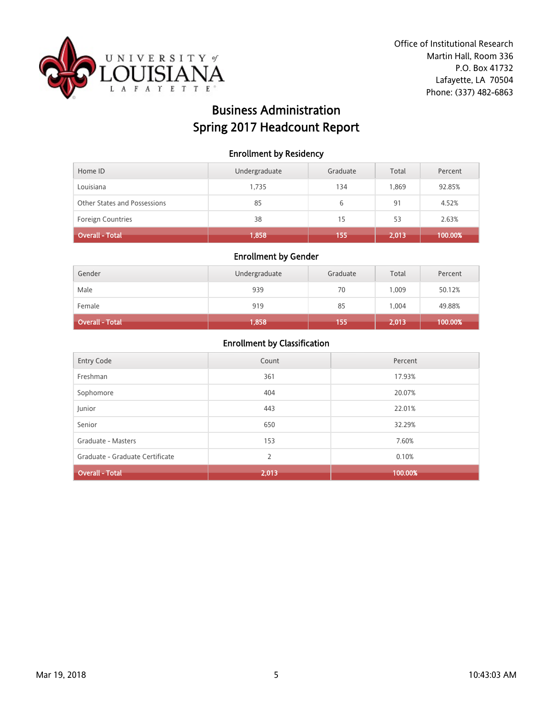

# Business Administration Spring 2017 Headcount Report

### Enrollment by Residency

| Home ID                      | Undergraduate | Graduate | Total | Percent |
|------------------------------|---------------|----------|-------|---------|
| Louisiana                    | 1.735         | 134      | 1.869 | 92.85%  |
| Other States and Possessions | 85            | 6        | 91    | 4.52%   |
| Foreign Countries            | 38            | 15       | 53    | 2.63%   |
| Overall - Total              | 1,858         | 155      | 2,013 | 100.00% |

#### Enrollment by Gender

| Gender          | Undergraduate | Graduate | Total | Percent |
|-----------------|---------------|----------|-------|---------|
| Male            | 939           | 70       | 1.009 | 50.12%  |
| Female          | 919           | 85       | 1.004 | 49.88%  |
| Overall - Total | 1,858         | 155      | 2,013 | 100.00% |

| <b>Entry Code</b>               | Count | Percent |
|---------------------------------|-------|---------|
| Freshman                        | 361   | 17.93%  |
| Sophomore                       | 404   | 20.07%  |
| Junior                          | 443   | 22.01%  |
| Senior                          | 650   | 32.29%  |
| Graduate - Masters              | 153   | 7.60%   |
| Graduate - Graduate Certificate | 2     | 0.10%   |
| <b>Overall - Total</b>          | 2,013 | 100.00% |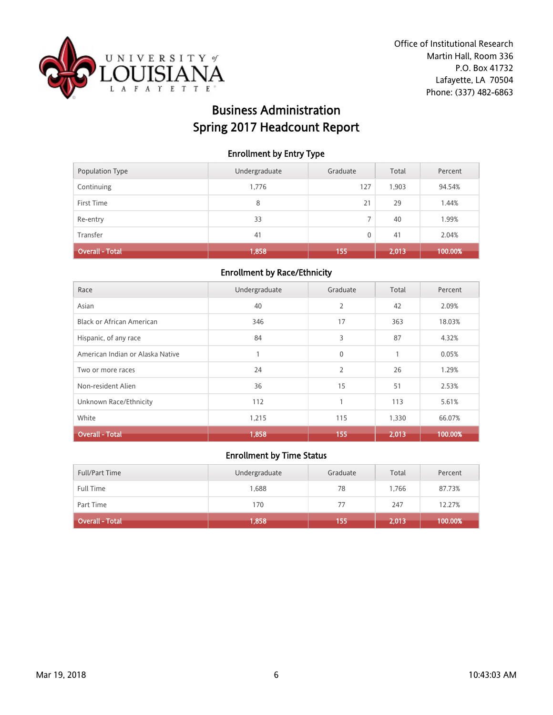

# Business Administration Spring 2017 Headcount Report

### Enrollment by Entry Type

| Population Type        | Undergraduate | Graduate       | Total | Percent |
|------------------------|---------------|----------------|-------|---------|
| Continuing             | 1,776         | 127            | 1,903 | 94.54%  |
| First Time             | 8             | 21             | 29    | 1.44%   |
| Re-entry               | 33            | $\overline{7}$ | 40    | 1.99%   |
| Transfer               | 41            | 0              | 41    | 2.04%   |
| <b>Overall - Total</b> | 1,858         | 155            | 2,013 | 100.00% |

#### Enrollment by Race/Ethnicity

| Race                             | Undergraduate | Graduate       | Total | Percent |
|----------------------------------|---------------|----------------|-------|---------|
| Asian                            | 40            | $\overline{2}$ | 42    | 2.09%   |
| Black or African American        | 346           | 17             | 363   | 18.03%  |
| Hispanic, of any race            | 84            | 3              | 87    | 4.32%   |
| American Indian or Alaska Native |               | $\mathbf 0$    | 1     | 0.05%   |
| Two or more races                | 24            | $\overline{2}$ | 26    | 1.29%   |
| Non-resident Alien               | 36            | 15             | 51    | 2.53%   |
| Unknown Race/Ethnicity           | 112           | $\mathbf{1}$   | 113   | 5.61%   |
| White                            | 1,215         | 115            | 1,330 | 66.07%  |
| <b>Overall - Total</b>           | 1,858         | 155            | 2,013 | 100.00% |

| <b>Full/Part Time</b>  | Undergraduate | Graduate | Total | Percent |
|------------------------|---------------|----------|-------|---------|
| <b>Full Time</b>       | 1,688         | 78       | 1.766 | 87.73%  |
| Part Time              | 170           | 77       | 247   | 12.27%  |
| <b>Overall - Total</b> | 1,858         | 155      | 2,013 | 100.00% |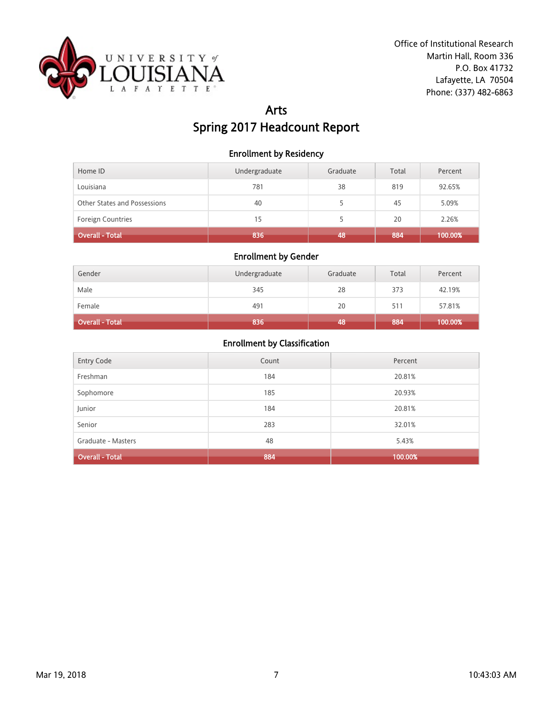

## Arts Spring 2017 Headcount Report

### Enrollment by Residency

| Home ID                      | Undergraduate | Graduate | Total | Percent |
|------------------------------|---------------|----------|-------|---------|
| Louisiana                    | 781           | 38       | 819   | 92.65%  |
| Other States and Possessions | 40            |          | 45    | 5.09%   |
| <b>Foreign Countries</b>     | 15            |          | 20    | 2.26%   |
| Overall - Total              | 836           | 48       | 884   | 100.00% |

### Enrollment by Gender

| Gender                 | Undergraduate | Graduate | Total | Percent |
|------------------------|---------------|----------|-------|---------|
| Male                   | 345           | 28       | 373   | 42.19%  |
| Female                 | 491           | 20       | 511   | 57.81%  |
| <b>Overall - Total</b> | 836           | 48       | 884   | 100.00% |

| <b>Entry Code</b>      | Count | Percent |
|------------------------|-------|---------|
| Freshman               | 184   | 20.81%  |
| Sophomore              | 185   | 20.93%  |
| Junior                 | 184   | 20.81%  |
| Senior                 | 283   | 32.01%  |
| Graduate - Masters     | 48    | 5.43%   |
| <b>Overall - Total</b> | 884   | 100.00% |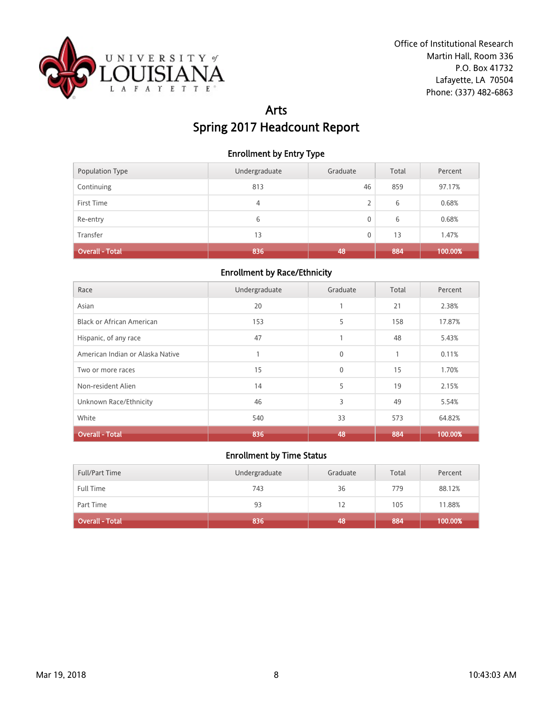

# Arts Spring 2017 Headcount Report

### Enrollment by Entry Type

| Population Type | Undergraduate | Graduate | Total | Percent |
|-----------------|---------------|----------|-------|---------|
| Continuing      | 813           | 46       | 859   | 97.17%  |
| First Time      | 4             | 2        | 6     | 0.68%   |
| Re-entry        | 6             | 0        | 6     | 0.68%   |
| Transfer        | 13            | 0        | 13    | 1.47%   |
| Overall - Total | 836           | 48       | 884   | 100.00% |

#### Enrollment by Race/Ethnicity

| Race                             | Undergraduate | Graduate     | Total        | Percent |
|----------------------------------|---------------|--------------|--------------|---------|
| Asian                            | 20            | 1            | 21           | 2.38%   |
| <b>Black or African American</b> | 153           | 5            | 158          | 17.87%  |
| Hispanic, of any race            | 47            | 1            | 48           | 5.43%   |
| American Indian or Alaska Native |               | $\mathbf{0}$ | $\mathbf{1}$ | 0.11%   |
| Two or more races                | 15            | $\mathbf{0}$ | 15           | 1.70%   |
| Non-resident Alien               | 14            | 5            | 19           | 2.15%   |
| Unknown Race/Ethnicity           | 46            | 3            | 49           | 5.54%   |
| White                            | 540           | 33           | 573          | 64.82%  |
| <b>Overall - Total</b>           | 836           | 48           | 884          | 100.00% |

| <b>Full/Part Time</b>  | Undergraduate | Graduate | Total | Percent |
|------------------------|---------------|----------|-------|---------|
| <b>Full Time</b>       | 743           | 36       | 779   | 88.12%  |
| Part Time              | 93            | 12       | 105   | 11.88%  |
| <b>Overall - Total</b> | 836           | 48       | 884   | 100.00% |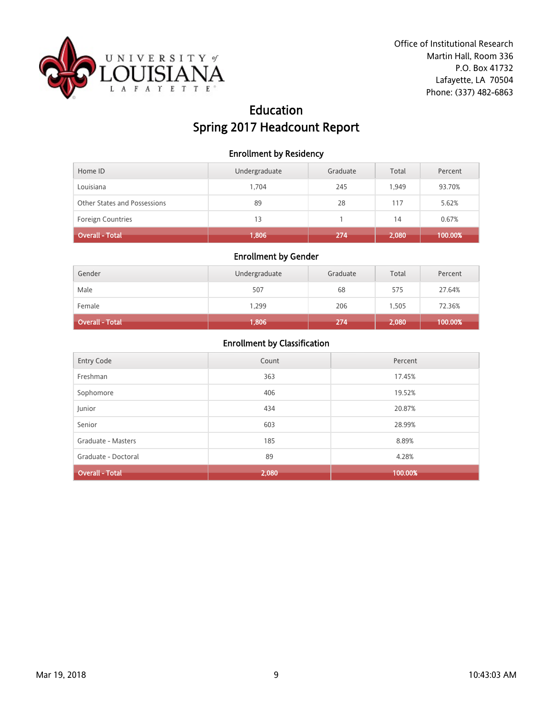

## Education Spring 2017 Headcount Report

### Enrollment by Residency

| Home ID                      | Undergraduate | Graduate | Total | Percent |
|------------------------------|---------------|----------|-------|---------|
| Louisiana                    | 1.704         | 245      | 1.949 | 93.70%  |
| Other States and Possessions | 89            | 28       | 117   | 5.62%   |
| <b>Foreign Countries</b>     | 13            |          | 14    | 0.67%   |
| Overall - Total              | 1,806         | 274      | 2,080 | 100.00% |

### Enrollment by Gender

| Gender          | Undergraduate | Graduate | Total | Percent |
|-----------------|---------------|----------|-------|---------|
| Male            | 507           | 68       | 575   | 27.64%  |
| Female          | 1.299         | 206      | 1,505 | 72.36%  |
| Overall - Total | 1,806         | 274      | 2,080 | 100.00% |

| Entry Code             | Count | Percent |
|------------------------|-------|---------|
| Freshman               | 363   | 17.45%  |
| Sophomore              | 406   | 19.52%  |
| Junior                 | 434   | 20.87%  |
| Senior                 | 603   | 28.99%  |
| Graduate - Masters     | 185   | 8.89%   |
| Graduate - Doctoral    | 89    | 4.28%   |
| <b>Overall - Total</b> | 2,080 | 100.00% |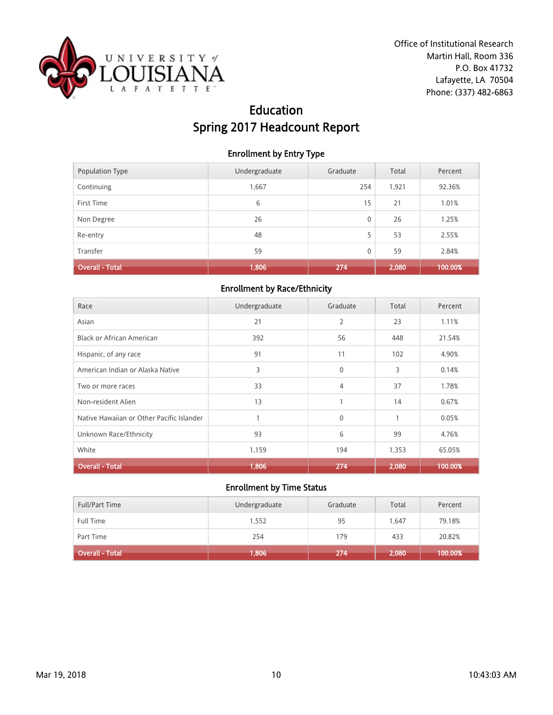

## Education Spring 2017 Headcount Report

### Enrollment by Entry Type

| Population Type        | Undergraduate | Graduate | Total | Percent |
|------------------------|---------------|----------|-------|---------|
| Continuing             | 1,667         | 254      | 1,921 | 92.36%  |
| First Time             | 6             | 15       | 21    | 1.01%   |
| Non Degree             | 26            | 0        | 26    | 1.25%   |
| Re-entry               | 48            | 5        | 53    | 2.55%   |
| Transfer               | 59            | 0        | 59    | 2.84%   |
| <b>Overall - Total</b> | 1,806         | 274      | 2,080 | 100.00% |

### Enrollment by Race/Ethnicity

| Race                                      | Undergraduate | Graduate     | Total        | Percent |
|-------------------------------------------|---------------|--------------|--------------|---------|
| Asian                                     | 21            | 2            | 23           | 1.11%   |
| <b>Black or African American</b>          | 392           | 56           | 448          | 21.54%  |
| Hispanic, of any race                     | 91            | 11           | 102          | 4.90%   |
| American Indian or Alaska Native          | 3             | $\mathbf{0}$ | 3            | 0.14%   |
| Two or more races                         | 33            | 4            | 37           | 1.78%   |
| Non-resident Alien                        | 13            | 1            | 14           | 0.67%   |
| Native Hawaiian or Other Pacific Islander |               | $\mathbf{0}$ | $\mathbf{1}$ | 0.05%   |
| Unknown Race/Ethnicity                    | 93            | 6            | 99           | 4.76%   |
| White                                     | 1,159         | 194          | 1,353        | 65.05%  |
| <b>Overall - Total</b>                    | 1,806         | 274          | 2,080        | 100.00% |

| <b>Full/Part Time</b> | Undergraduate | Graduate | Total | Percent |
|-----------------------|---------------|----------|-------|---------|
| <b>Full Time</b>      | 1,552         | 95       | 1.647 | 79.18%  |
| Part Time             | 254           | 179      | 433   | 20.82%  |
| Overall - Total       | 1,806         | 274      | 2,080 | 100.00% |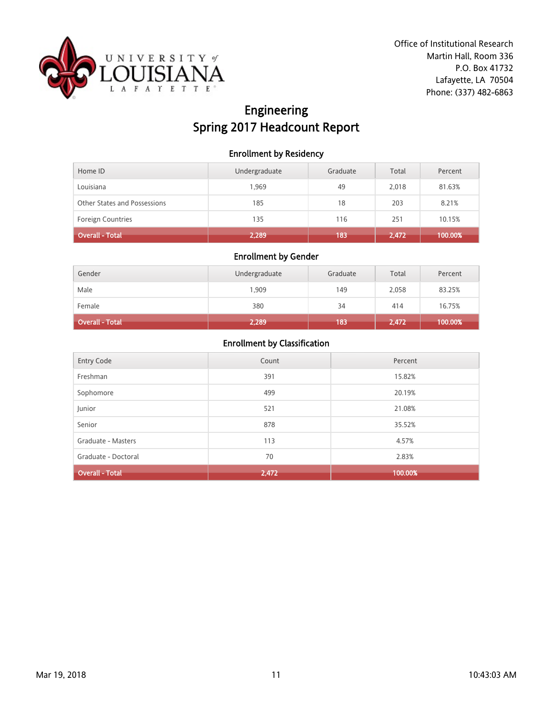

# Engineering Spring 2017 Headcount Report

### Enrollment by Residency

| Home ID                      | Undergraduate | Graduate | Total | Percent |
|------------------------------|---------------|----------|-------|---------|
| Louisiana                    | 1,969         | 49       | 2,018 | 81.63%  |
| Other States and Possessions | 185           | 18       | 203   | 8.21%   |
| <b>Foreign Countries</b>     | 135           | 116      | 251   | 10.15%  |
| Overall - Total              | 2,289         | 183      | 2,472 | 100.00% |

#### Enrollment by Gender

| Gender          | Undergraduate | Graduate | Total | Percent |
|-----------------|---------------|----------|-------|---------|
| Male            | 1,909         | 149      | 2,058 | 83.25%  |
| Female          | 380           | 34       | 414   | 16.75%  |
| Overall - Total | 2,289         | 183      | 2,472 | 100.00% |

| <b>Entry Code</b>      | Count | Percent |
|------------------------|-------|---------|
|                        |       |         |
| Freshman               | 391   | 15.82%  |
|                        |       |         |
|                        |       |         |
| Sophomore              | 499   | 20.19%  |
|                        |       |         |
| Junior                 | 521   | 21.08%  |
|                        |       |         |
| Senior                 | 878   | 35.52%  |
|                        |       |         |
| Graduate - Masters     | 113   | 4.57%   |
|                        |       |         |
| Graduate - Doctoral    | 70    | 2.83%   |
|                        |       |         |
| <b>Overall - Total</b> | 2,472 | 100.00% |
|                        |       |         |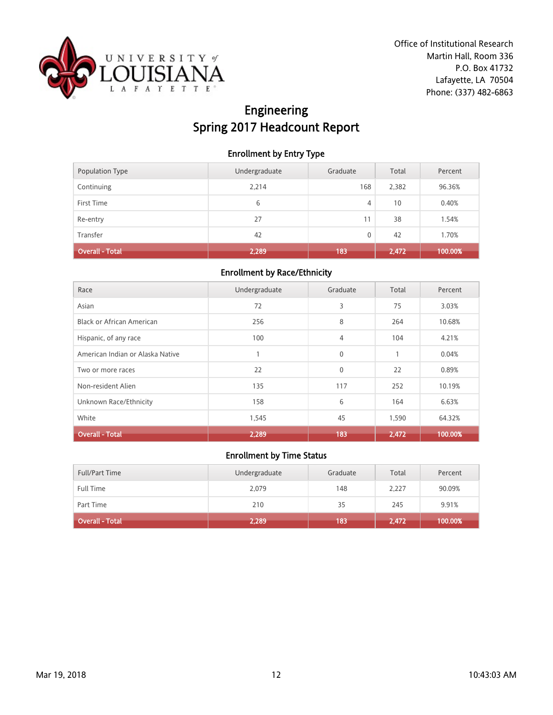

# Engineering Spring 2017 Headcount Report

### Enrollment by Entry Type

| Population Type | Undergraduate | Graduate | Total | Percent |
|-----------------|---------------|----------|-------|---------|
| Continuing      | 2,214         | 168      | 2,382 | 96.36%  |
| First Time      | 6             | 4        | 10    | 0.40%   |
| Re-entry        | 27            | 11       | 38    | 1.54%   |
| Transfer        | 42            | 0        | 42    | 1.70%   |
| Overall - Total | 2,289         | 183      | 2,472 | 100.00% |

#### Enrollment by Race/Ethnicity

| Race                             | Undergraduate | Graduate       | Total | Percent |
|----------------------------------|---------------|----------------|-------|---------|
| Asian                            | 72            | 3              | 75    | 3.03%   |
| <b>Black or African American</b> | 256           | 8              | 264   | 10.68%  |
| Hispanic, of any race            | 100           | $\overline{4}$ | 104   | 4.21%   |
| American Indian or Alaska Native |               | $\mathbf{0}$   |       | 0.04%   |
| Two or more races                | 22            | $\mathbf{0}$   | 22    | 0.89%   |
| Non-resident Alien               | 135           | 117            | 252   | 10.19%  |
| Unknown Race/Ethnicity           | 158           | 6              | 164   | 6.63%   |
| White                            | 1,545         | 45             | 1,590 | 64.32%  |
| <b>Overall - Total</b>           | 2,289         | 183            | 2,472 | 100.00% |

| <b>Full/Part Time</b> | Undergraduate | Graduate | Total | Percent |
|-----------------------|---------------|----------|-------|---------|
| <b>Full Time</b>      | 2,079         | 148      | 2,227 | 90.09%  |
| Part Time             | 210           | 35       | 245   | 9.91%   |
| Overall - Total       | 2,289         | 183      | 2,472 | 100.00% |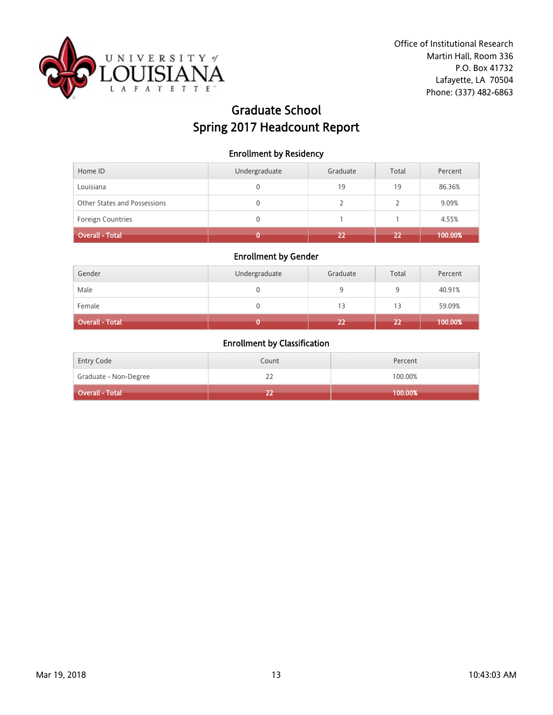

# Graduate School Spring 2017 Headcount Report

#### Enrollment by Residency

| Home ID                             | Undergraduate | Graduate | Total | Percent |
|-------------------------------------|---------------|----------|-------|---------|
| Louisiana                           |               | 19       | 19    | 86.36%  |
| <b>Other States and Possessions</b> | 0             |          |       | 9.09%   |
| <b>Foreign Countries</b>            | 0             |          |       | 4.55%   |
| Overall - Total                     |               | 22       | 22    | 100.00% |

### Enrollment by Gender

| Gender          | Undergraduate | Graduate | Total | Percent |
|-----------------|---------------|----------|-------|---------|
| Male            |               |          | 9     | 40.91%  |
| Female          |               | 13       | 13    | 59.09%  |
| Overall - Total |               | 22       | 22    | 100.00% |

| <b>Entry Code</b>     | Count | Percent |
|-----------------------|-------|---------|
| Graduate - Non-Degree | ے ے   | 100.00% |
| Overall - Total       |       | 100.00% |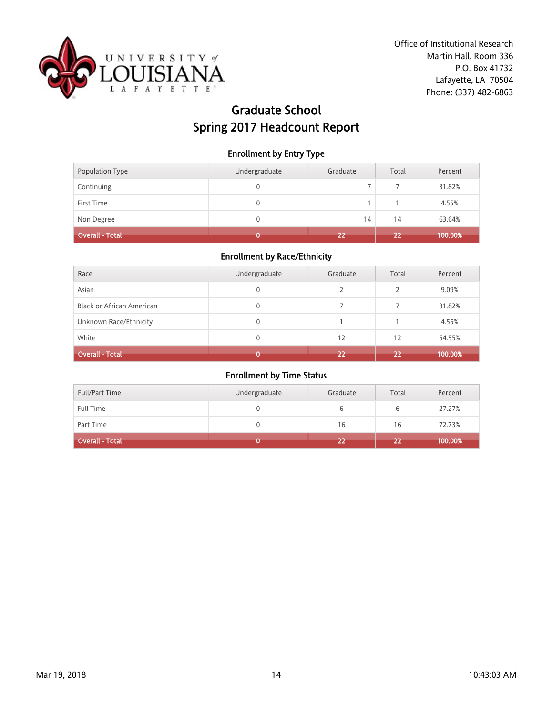

# Graduate School Spring 2017 Headcount Report

### Enrollment by Entry Type

| Population Type        | Undergraduate | Graduate | Total | Percent |
|------------------------|---------------|----------|-------|---------|
| Continuing             | 0             |          |       | 31.82%  |
| First Time             | 0             |          |       | 4.55%   |
| Non Degree             | 0             | 14       | 14    | 63.64%  |
| <b>Overall - Total</b> |               | 22       | 22    | 100.00% |

### Enrollment by Race/Ethnicity

| Race                             | Undergraduate | Graduate | Total         | Percent |
|----------------------------------|---------------|----------|---------------|---------|
| Asian                            | 0             |          | $\mathcal{P}$ | 9.09%   |
| <b>Black or African American</b> | 0             |          |               | 31.82%  |
| Unknown Race/Ethnicity           | 0             |          |               | 4.55%   |
| White                            | 0             | 12       | 12            | 54.55%  |
| <b>Overall - Total</b>           |               | 22       | 22            | 100.00% |

| <b>Full/Part Time</b> | Undergraduate | Graduate | Total | Percent |
|-----------------------|---------------|----------|-------|---------|
| Full Time             |               |          | b     | 27.27%  |
| Part Time             |               | 16       | 16    | 72.73%  |
| Overall - Total       |               | 22       | 22    | 100.00% |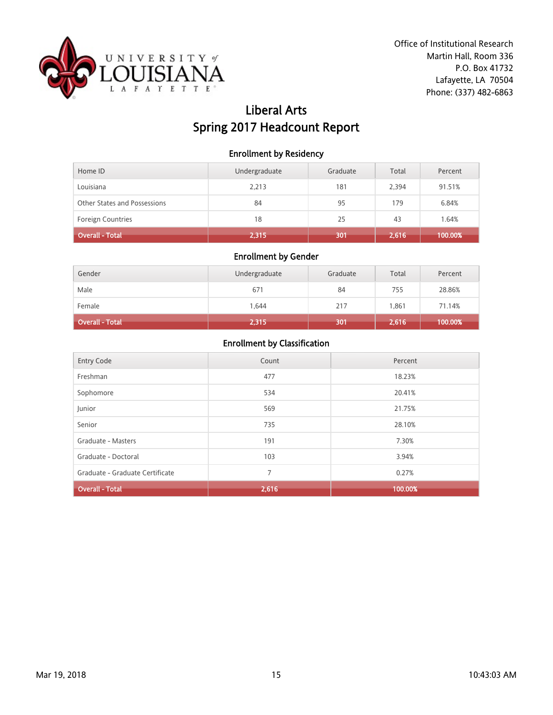

## Liberal Arts Spring 2017 Headcount Report

### Enrollment by Residency

| Home ID                      | Undergraduate | Graduate | Total | Percent |
|------------------------------|---------------|----------|-------|---------|
| Louisiana                    | 2,213         | 181      | 2.394 | 91.51%  |
| Other States and Possessions | 84            | 95       | 179   | 6.84%   |
| <b>Foreign Countries</b>     | 18            | 25       | 43    | 1.64%   |
| Overall - Total              | 2,315         | 301      | 2,616 | 100.00% |

### Enrollment by Gender

| Gender          | Undergraduate | Graduate | Total | Percent |
|-----------------|---------------|----------|-------|---------|
| Male            | 671           | 84       | 755   | 28.86%  |
| Female          | 1.644         | 217      | 1,861 | 71.14%  |
| Overall - Total | 2,315         | 301      | 2,616 | 100.00% |

| <b>Entry Code</b>               | Count | Percent |
|---------------------------------|-------|---------|
| Freshman                        | 477   | 18.23%  |
| Sophomore                       | 534   | 20.41%  |
| Junior                          | 569   | 21.75%  |
| Senior                          | 735   | 28.10%  |
| Graduate - Masters              | 191   | 7.30%   |
| Graduate - Doctoral             | 103   | 3.94%   |
| Graduate - Graduate Certificate | 7     | 0.27%   |
| <b>Overall - Total</b>          | 2,616 | 100.00% |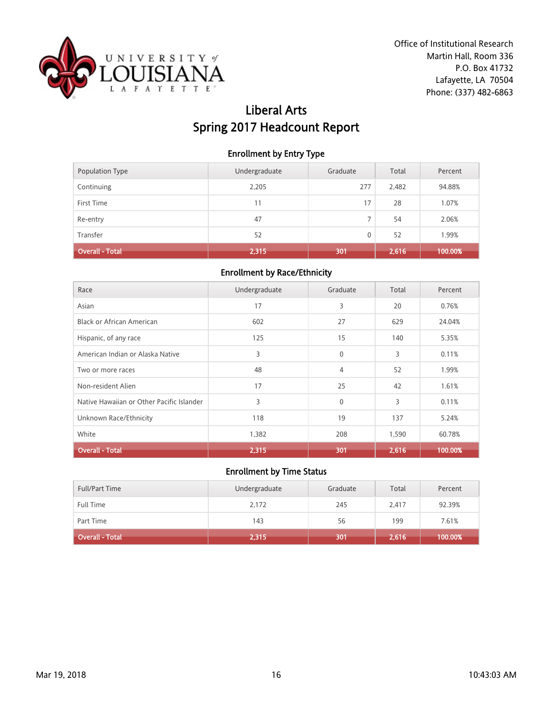

# Liberal Arts Spring 2017 Headcount Report

### Enrollment by Entry Type

| Population Type        | Undergraduate | Graduate | Total | Percent |
|------------------------|---------------|----------|-------|---------|
| Continuing             | 2,205         | 277      | 2,482 | 94.88%  |
| First Time             | 11            | 17       | 28    | 1.07%   |
| Re-entry               | 47            | ⇁        | 54    | 2.06%   |
| Transfer               | 52            | 0        | 52    | 1.99%   |
| <b>Overall - Total</b> | 2,315         | 301      | 2,616 | 100.00% |

#### Enrollment by Race/Ethnicity

| Race                                      | Undergraduate | Graduate       | Total | Percent |
|-------------------------------------------|---------------|----------------|-------|---------|
| Asian                                     | 17            | 3              | 20    | 0.76%   |
| Black or African American                 | 602           | 27             | 629   | 24.04%  |
| Hispanic, of any race                     | 125           | 15             | 140   | 5.35%   |
| American Indian or Alaska Native          | 3             | $\mathbf 0$    | 3     | 0.11%   |
| Two or more races                         | 48            | $\overline{4}$ | 52    | 1.99%   |
| Non-resident Alien                        | 17            | 25             | 42    | 1.61%   |
| Native Hawaiian or Other Pacific Islander | 3             | $\mathbf{0}$   | 3     | 0.11%   |
| Unknown Race/Ethnicity                    | 118           | 19             | 137   | 5.24%   |
| White                                     | 1,382         | 208            | 1,590 | 60.78%  |
| <b>Overall - Total</b>                    | 2,315         | 301            | 2,616 | 100.00% |

| <b>Full/Part Time</b>  | Undergraduate | Graduate | Total | Percent |
|------------------------|---------------|----------|-------|---------|
| Full Time              | 2,172         | 245      | 2.417 | 92.39%  |
| Part Time              | 143           | 56       | 199   | 7.61%   |
| <b>Overall - Total</b> | 2,315         | 301      | 2,616 | 100.00% |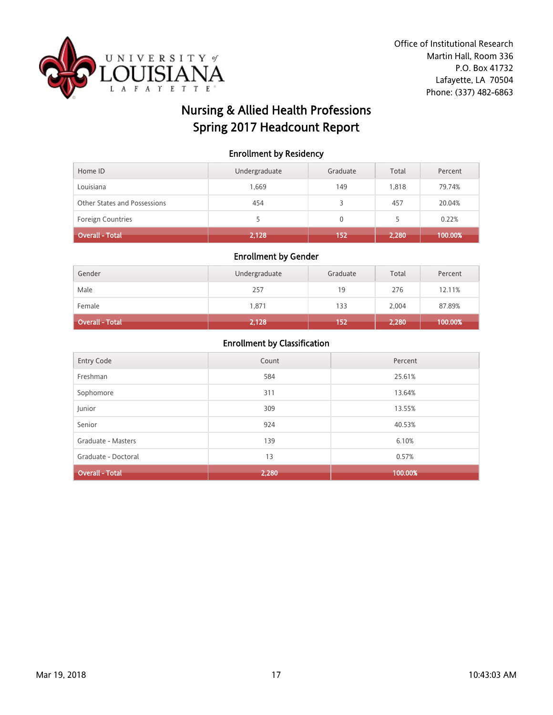

# Nursing & Allied Health Professions Spring 2017 Headcount Report

### Enrollment by Residency

| Home ID                      | Undergraduate | Graduate | Total | Percent |
|------------------------------|---------------|----------|-------|---------|
| Louisiana                    | 1.669         | 149      | 1.818 | 79.74%  |
| Other States and Possessions | 454           |          | 457   | 20.04%  |
| <b>Foreign Countries</b>     |               | 0        | 5     | 0.22%   |
| Overall - Total              | 2,128         | 152      | 2,280 | 100.00% |

#### Enrollment by Gender

| Gender          | Undergraduate | Graduate | Total | Percent |
|-----------------|---------------|----------|-------|---------|
| Male            | 257           | 19       | 276   | 12.11%  |
| Female          | 1,871         | 133      | 2,004 | 87.89%  |
| Overall - Total | 2,128         | 152      | 2,280 | 100.00% |

| Entry Code             | Count | Percent |
|------------------------|-------|---------|
| Freshman               | 584   | 25.61%  |
| Sophomore              | 311   | 13.64%  |
| Junior                 | 309   | 13.55%  |
| Senior                 | 924   | 40.53%  |
| Graduate - Masters     | 139   | 6.10%   |
| Graduate - Doctoral    | 13    | 0.57%   |
| <b>Overall - Total</b> | 2,280 | 100.00% |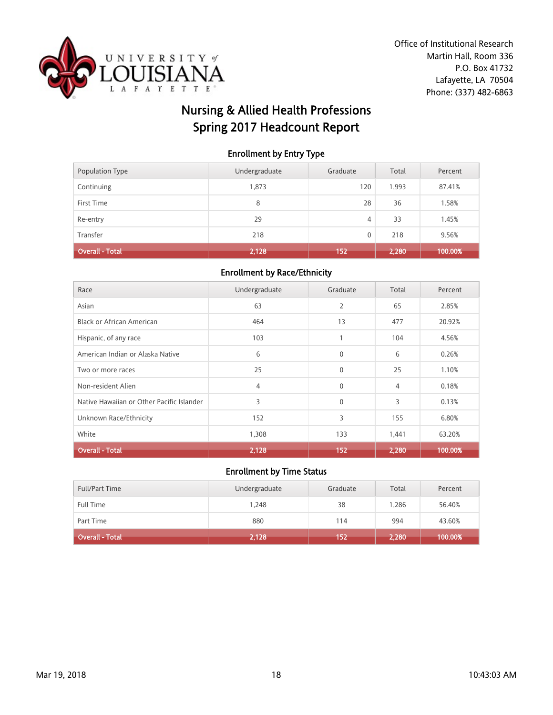

# Nursing & Allied Health Professions Spring 2017 Headcount Report

### Enrollment by Entry Type

| Continuing             | 1,873 | 120 | 1,993 | 87.41%  |
|------------------------|-------|-----|-------|---------|
| First Time             | 8     | 28  | 36    | 1.58%   |
| Re-entry               | 29    | 4   | 33    | 1.45%   |
| Transfer               | 218   | 0   | 218   | 9.56%   |
| <b>Overall - Total</b> | 2,128 | 152 | 2,280 | 100.00% |

#### Enrollment by Race/Ethnicity

| Race                                      | Undergraduate | Graduate       | Total | Percent |
|-------------------------------------------|---------------|----------------|-------|---------|
| Asian                                     | 63            | $\overline{2}$ | 65    | 2.85%   |
| <b>Black or African American</b>          | 464           | 13             | 477   | 20.92%  |
| Hispanic, of any race                     | 103           | 1              | 104   | 4.56%   |
| American Indian or Alaska Native          | 6             | $\mathbf{0}$   | 6     | 0.26%   |
| Two or more races                         | 25            | $\mathbf{0}$   | 25    | 1.10%   |
| Non-resident Alien                        | 4             | $\mathbf{0}$   | 4     | 0.18%   |
| Native Hawaiian or Other Pacific Islander | 3             | $\mathbf{0}$   | 3     | 0.13%   |
| Unknown Race/Ethnicity                    | 152           | 3              | 155   | 6.80%   |
| White                                     | 1,308         | 133            | 1,441 | 63.20%  |
| <b>Overall - Total</b>                    | 2,128         | 152            | 2.280 | 100.00% |

| <b>Full/Part Time</b> | Undergraduate | Graduate | Total | Percent |
|-----------------------|---------------|----------|-------|---------|
| <b>Full Time</b>      | 1.248         | 38       | 1.286 | 56.40%  |
| Part Time             | 880           | 114      | 994   | 43.60%  |
| Overall - Total       | 2,128         | 152      | 2,280 | 100.00% |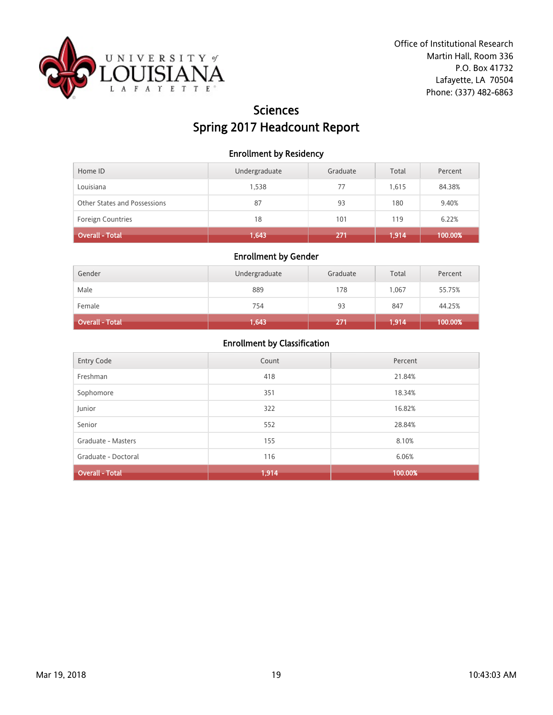

## Sciences Spring 2017 Headcount Report

### Enrollment by Residency

| Home ID                      | Undergraduate | Graduate | Total | Percent |
|------------------------------|---------------|----------|-------|---------|
| Louisiana                    | 1.538         | 77       | 1.615 | 84.38%  |
| Other States and Possessions | 87            | 93       | 180   | 9.40%   |
| <b>Foreign Countries</b>     | 18            | 101      | 119   | 6.22%   |
| Overall - Total              | 1,643         | 271      | 1.914 | 100.00% |

### Enrollment by Gender

| Gender          | Undergraduate | Graduate | Total | Percent |
|-----------------|---------------|----------|-------|---------|
| Male            | 889           | 178      | 1,067 | 55.75%  |
| Female          | 754           | 93       | 847   | 44.25%  |
| Overall - Total | 1,643         | 271      | .914  | 100.00% |

| Entry Code             | Count | Percent |
|------------------------|-------|---------|
| Freshman               | 418   | 21.84%  |
| Sophomore              | 351   | 18.34%  |
| Junior                 | 322   | 16.82%  |
| Senior                 | 552   | 28.84%  |
| Graduate - Masters     | 155   | 8.10%   |
| Graduate - Doctoral    | 116   | 6.06%   |
| <b>Overall - Total</b> | 1,914 | 100.00% |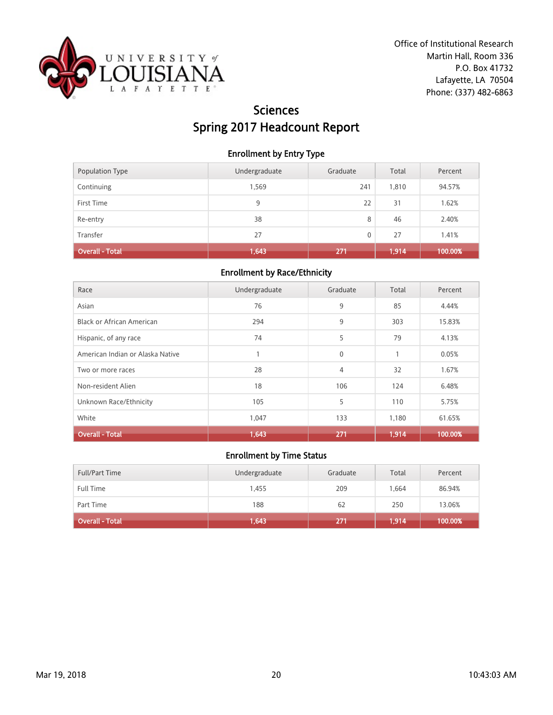

## Sciences Spring 2017 Headcount Report

### Enrollment by Entry Type

| Population Type | Undergraduate | Graduate | Total | Percent |
|-----------------|---------------|----------|-------|---------|
| Continuing      | 1,569         | 241      | 1,810 | 94.57%  |
| First Time      | 9             | 22       | 31    | 1.62%   |
| Re-entry        | 38            | 8        | 46    | 2.40%   |
| Transfer        | 27            | 0        | 27    | 1.41%   |
| Overall - Total | 1,643         | 271      | 1,914 | 100.00% |

#### Enrollment by Race/Ethnicity

| Race                             | Undergraduate | Graduate       | Total | Percent |
|----------------------------------|---------------|----------------|-------|---------|
| Asian                            | 76            | 9              | 85    | 4.44%   |
| <b>Black or African American</b> | 294           | 9              | 303   | 15.83%  |
| Hispanic, of any race            | 74            | 5              | 79    | 4.13%   |
| American Indian or Alaska Native |               | $\mathbf{0}$   |       | 0.05%   |
| Two or more races                | 28            | $\overline{4}$ | 32    | 1.67%   |
| Non-resident Alien               | 18            | 106            | 124   | 6.48%   |
| Unknown Race/Ethnicity           | 105           | 5              | 110   | 5.75%   |
| White                            | 1,047         | 133            | 1,180 | 61.65%  |
| <b>Overall - Total</b>           | 1,643         | 271            | 1,914 | 100.00% |

| <b>Full/Part Time</b>  | Undergraduate | Graduate | Total | Percent |
|------------------------|---------------|----------|-------|---------|
| Full Time              | 1,455         | 209      | 1.664 | 86.94%  |
| Part Time              | 188           | 62       | 250   | 13.06%  |
| <b>Overall - Total</b> | 1,643         | 271      | 1,914 | 100.00% |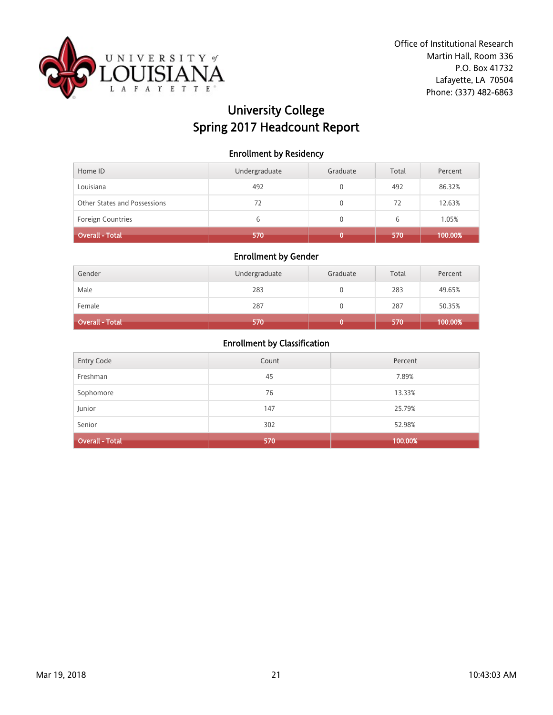

# University College Spring 2017 Headcount Report

### Enrollment by Residency

| Home ID                      | Undergraduate | Graduate | Total | Percent |
|------------------------------|---------------|----------|-------|---------|
| Louisiana                    | 492           |          | 492   | 86.32%  |
| Other States and Possessions | 72            |          | 72    | 12.63%  |
| <b>Foreign Countries</b>     | 6             |          | 6     | 1.05%   |
| <b>Overall - Total</b>       | 570           |          | 570   | 100.00% |

### Enrollment by Gender

| Gender                 | Undergraduate | Graduate | Total | Percent |
|------------------------|---------------|----------|-------|---------|
| Male                   | 283           |          | 283   | 49.65%  |
| Female                 | 287           |          | 287   | 50.35%  |
| <b>Overall - Total</b> | 570           |          | 570   | 100.00% |

| <b>Entry Code</b>      | Count | Percent |
|------------------------|-------|---------|
| Freshman               | 45    | 7.89%   |
| Sophomore              | 76    | 13.33%  |
| Junior                 | 147   | 25.79%  |
| Senior                 | 302   | 52.98%  |
| <b>Overall - Total</b> | 570   | 100.00% |